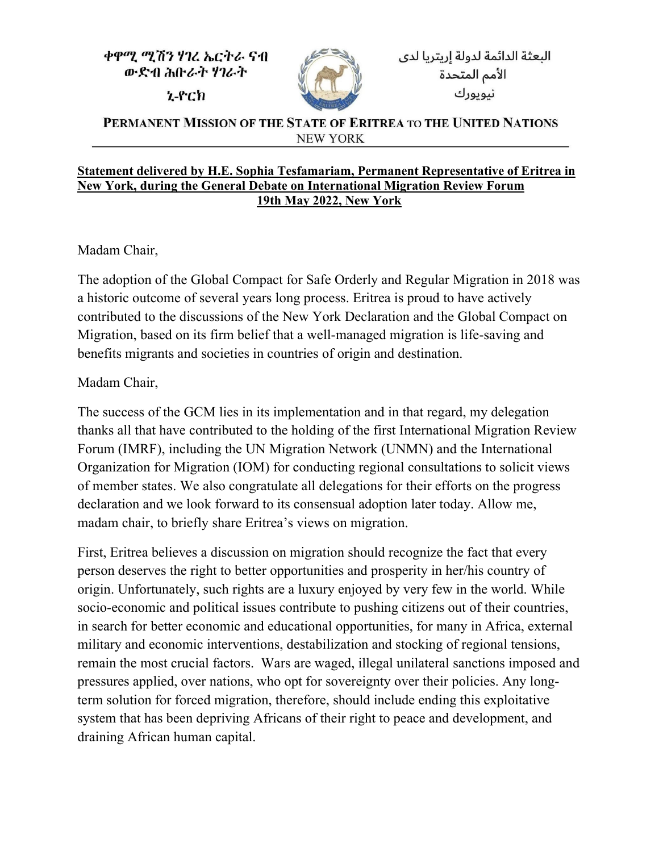ቀዋሚ ሚሽን ሃገረ ኤርትራ ናብ ውድብ ሕቡራት ሃገራት

**z-**ech



PERMANENT MISSION OF THE STATE OF ERITREA TO THE UNITED NATIONS **NEW YORK** 

## **Statement delivered by H.E. Sophia Tesfamariam, Permanent Representative of Eritrea in New York, during the General Debate on International Migration Review Forum 19th May 2022, New York**

Madam Chair,

The adoption of the Global Compact for Safe Orderly and Regular Migration in 2018 was a historic outcome of several years long process. Eritrea is proud to have actively contributed to the discussions of the New York Declaration and the Global Compact on Migration, based on its firm belief that a well-managed migration is life-saving and benefits migrants and societies in countries of origin and destination.

Madam Chair,

The success of the GCM lies in its implementation and in that regard, my delegation thanks all that have contributed to the holding of the first International Migration Review Forum (IMRF), including the UN Migration Network (UNMN) and the International Organization for Migration (IOM) for conducting regional consultations to solicit views of member states. We also congratulate all delegations for their efforts on the progress declaration and we look forward to its consensual adoption later today. Allow me, madam chair, to briefly share Eritrea's views on migration.

First, Eritrea believes a discussion on migration should recognize the fact that every person deserves the right to better opportunities and prosperity in her/his country of origin. Unfortunately, such rights are a luxury enjoyed by very few in the world. While socio-economic and political issues contribute to pushing citizens out of their countries, in search for better economic and educational opportunities, for many in Africa, external military and economic interventions, destabilization and stocking of regional tensions, remain the most crucial factors. Wars are waged, illegal unilateral sanctions imposed and pressures applied, over nations, who opt for sovereignty over their policies. Any longterm solution for forced migration, therefore, should include ending this exploitative system that has been depriving Africans of their right to peace and development, and draining African human capital.